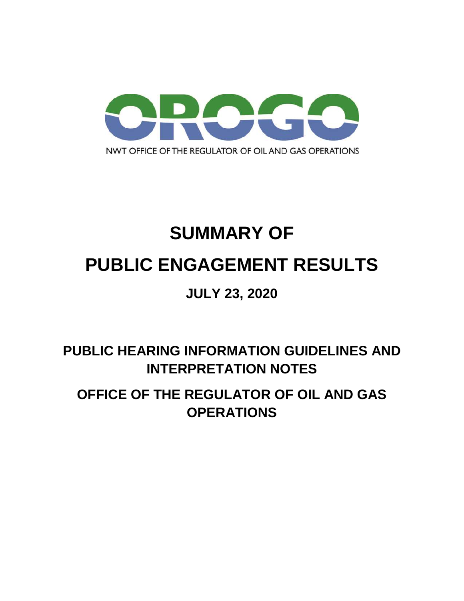

# **SUMMARY OF PUBLIC ENGAGEMENT RESULTS**

## **JULY 23, 2020**

# **PUBLIC HEARING INFORMATION GUIDELINES AND INTERPRETATION NOTES**

# **OFFICE OF THE REGULATOR OF OIL AND GAS OPERATIONS**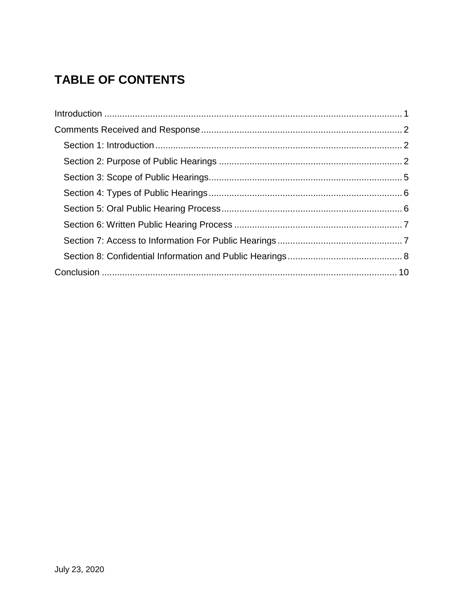### **TABLE OF CONTENTS**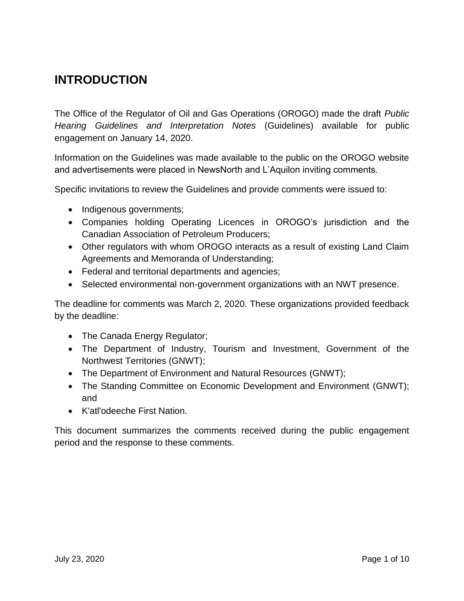### <span id="page-2-0"></span>**INTRODUCTION**

The Office of the Regulator of Oil and Gas Operations (OROGO) made the draft *Public Hearing Guidelines and Interpretation Notes* (Guidelines) available for public engagement on January 14, 2020.

Information on the Guidelines was made available to the public on the OROGO website and advertisements were placed in NewsNorth and L'Aquilon inviting comments.

Specific invitations to review the Guidelines and provide comments were issued to:

- Indigenous governments;
- Companies holding Operating Licences in OROGO's jurisdiction and the Canadian Association of Petroleum Producers;
- Other regulators with whom OROGO interacts as a result of existing Land Claim Agreements and Memoranda of Understanding;
- Federal and territorial departments and agencies;
- Selected environmental non-government organizations with an NWT presence.

The deadline for comments was March 2, 2020. These organizations provided feedback by the deadline:

- The Canada Energy Regulator;
- The Department of Industry, Tourism and Investment, Government of the Northwest Territories (GNWT);
- The Department of Environment and Natural Resources (GNWT);
- The Standing Committee on Economic Development and Environment (GNWT); and
- K'atl'odeeche First Nation.

This document summarizes the comments received during the public engagement period and the response to these comments.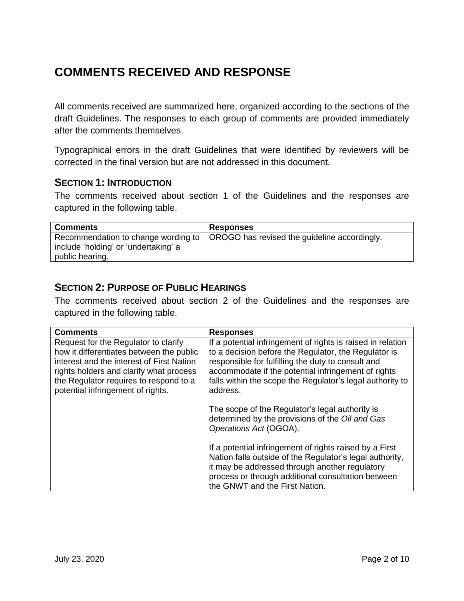### <span id="page-3-0"></span>**COMMENTS RECEIVED AND RESPONSE**

All comments received are summarized here, organized according to the sections of the draft Guidelines. The responses to each group of comments are provided immediately after the comments themselves.

Typographical errors in the draft Guidelines that were identified by reviewers will be corrected in the final version but are not addressed in this document.

#### <span id="page-3-1"></span>**SECTION 1: INTRODUCTION**

The comments received about section 1 of the Guidelines and the responses are captured in the following table.

| <b>Comments</b>                                                                                  | <b>Responses</b>                             |
|--------------------------------------------------------------------------------------------------|----------------------------------------------|
| Recommendation to change wording to  <br>include 'holding' or 'undertaking' a<br>public hearing. | OROGO has revised the guideline accordingly. |

#### <span id="page-3-2"></span>**SECTION 2: PURPOSE OF PUBLIC HEARINGS**

The comments received about section 2 of the Guidelines and the responses are captured in the following table.

| <b>Comments</b>                                                                                                                                                                                                                                         | <b>Responses</b>                                                                                                                                                                                                                                                                                          |
|---------------------------------------------------------------------------------------------------------------------------------------------------------------------------------------------------------------------------------------------------------|-----------------------------------------------------------------------------------------------------------------------------------------------------------------------------------------------------------------------------------------------------------------------------------------------------------|
| Request for the Regulator to clarify<br>how it differentiates between the public<br>interest and the interest of First Nation<br>rights holders and clarify what process<br>the Regulator requires to respond to a<br>potential infringement of rights. | If a potential infringement of rights is raised in relation<br>to a decision before the Regulator, the Regulator is<br>responsible for fulfilling the duty to consult and<br>accommodate if the potential infringement of rights<br>falls within the scope the Regulator's legal authority to<br>address. |
|                                                                                                                                                                                                                                                         | The scope of the Regulator's legal authority is<br>determined by the provisions of the Oil and Gas<br>Operations Act (OGOA).                                                                                                                                                                              |
|                                                                                                                                                                                                                                                         | If a potential infringement of rights raised by a First<br>Nation falls outside of the Regulator's legal authority,<br>it may be addressed through another regulatory<br>process or through additional consultation between<br>the GNWT and the First Nation.                                             |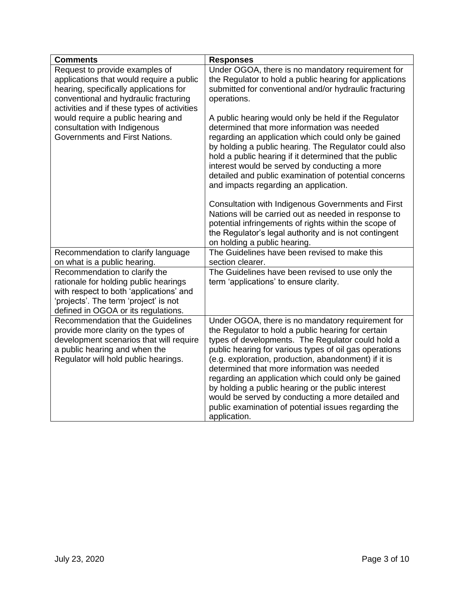| <b>Comments</b>                                                                                                                                                                                   | <b>Responses</b>                                                                                                                                                                                                                                                                                                                                                                                                                                                                                                                                                        |
|---------------------------------------------------------------------------------------------------------------------------------------------------------------------------------------------------|-------------------------------------------------------------------------------------------------------------------------------------------------------------------------------------------------------------------------------------------------------------------------------------------------------------------------------------------------------------------------------------------------------------------------------------------------------------------------------------------------------------------------------------------------------------------------|
| Request to provide examples of<br>applications that would require a public<br>hearing, specifically applications for<br>conventional and hydraulic fracturing                                     | Under OGOA, there is no mandatory requirement for<br>the Regulator to hold a public hearing for applications<br>submitted for conventional and/or hydraulic fracturing<br>operations.                                                                                                                                                                                                                                                                                                                                                                                   |
| activities and if these types of activities<br>would require a public hearing and<br>consultation with Indigenous<br>Governments and First Nations.                                               | A public hearing would only be held if the Regulator<br>determined that more information was needed<br>regarding an application which could only be gained<br>by holding a public hearing. The Regulator could also<br>hold a public hearing if it determined that the public<br>interest would be served by conducting a more                                                                                                                                                                                                                                          |
|                                                                                                                                                                                                   | detailed and public examination of potential concerns<br>and impacts regarding an application.                                                                                                                                                                                                                                                                                                                                                                                                                                                                          |
|                                                                                                                                                                                                   | Consultation with Indigenous Governments and First<br>Nations will be carried out as needed in response to<br>potential infringements of rights within the scope of<br>the Regulator's legal authority and is not contingent<br>on holding a public hearing.                                                                                                                                                                                                                                                                                                            |
| Recommendation to clarify language                                                                                                                                                                | The Guidelines have been revised to make this                                                                                                                                                                                                                                                                                                                                                                                                                                                                                                                           |
| on what is a public hearing.                                                                                                                                                                      | section clearer.                                                                                                                                                                                                                                                                                                                                                                                                                                                                                                                                                        |
| Recommendation to clarify the<br>rationale for holding public hearings<br>with respect to both 'applications' and<br>'projects'. The term 'project' is not<br>defined in OGOA or its regulations. | The Guidelines have been revised to use only the<br>term 'applications' to ensure clarity.                                                                                                                                                                                                                                                                                                                                                                                                                                                                              |
| Recommendation that the Guidelines<br>provide more clarity on the types of<br>development scenarios that will require<br>a public hearing and when the<br>Regulator will hold public hearings.    | Under OGOA, there is no mandatory requirement for<br>the Regulator to hold a public hearing for certain<br>types of developments. The Regulator could hold a<br>public hearing for various types of oil gas operations<br>(e.g. exploration, production, abandonment) if it is<br>determined that more information was needed<br>regarding an application which could only be gained<br>by holding a public hearing or the public interest<br>would be served by conducting a more detailed and<br>public examination of potential issues regarding the<br>application. |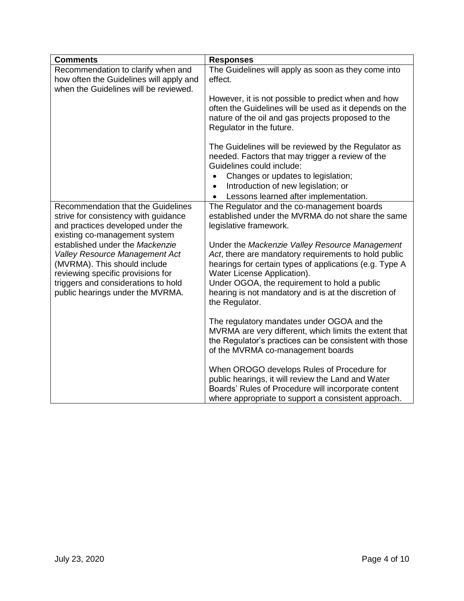| <b>Comments</b>                                                                                                                                  | <b>Responses</b>                                                                                                                                                                                               |
|--------------------------------------------------------------------------------------------------------------------------------------------------|----------------------------------------------------------------------------------------------------------------------------------------------------------------------------------------------------------------|
| Recommendation to clarify when and<br>how often the Guidelines will apply and<br>when the Guidelines will be reviewed.                           | The Guidelines will apply as soon as they come into<br>effect.                                                                                                                                                 |
|                                                                                                                                                  | However, it is not possible to predict when and how<br>often the Guidelines will be used as it depends on the<br>nature of the oil and gas projects proposed to the<br>Regulator in the future.                |
|                                                                                                                                                  | The Guidelines will be reviewed by the Regulator as<br>needed. Factors that may trigger a review of the<br>Guidelines could include:                                                                           |
|                                                                                                                                                  | Changes or updates to legislation;<br>Introduction of new legislation; or<br>$\bullet$<br>Lessons learned after implementation.<br>$\bullet$                                                                   |
| Recommendation that the Guidelines<br>strive for consistency with guidance<br>and practices developed under the<br>existing co-management system | The Regulator and the co-management boards<br>established under the MVRMA do not share the same<br>legislative framework.                                                                                      |
| established under the Mackenzie<br>Valley Resource Management Act<br>(MVRMA). This should include<br>reviewing specific provisions for           | Under the Mackenzie Valley Resource Management<br>Act, there are mandatory requirements to hold public<br>hearings for certain types of applications (e.g. Type A<br>Water License Application).               |
| triggers and considerations to hold<br>public hearings under the MVRMA.                                                                          | Under OGOA, the requirement to hold a public<br>hearing is not mandatory and is at the discretion of<br>the Regulator.                                                                                         |
|                                                                                                                                                  | The regulatory mandates under OGOA and the<br>MVRMA are very different, which limits the extent that<br>the Regulator's practices can be consistent with those<br>of the MVRMA co-management boards            |
|                                                                                                                                                  | When OROGO develops Rules of Procedure for<br>public hearings, it will review the Land and Water<br>Boards' Rules of Procedure will incorporate content<br>where appropriate to support a consistent approach. |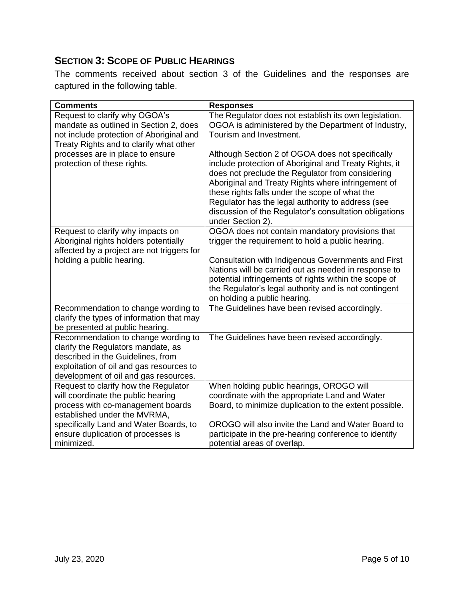#### <span id="page-6-0"></span>**SECTION 3: SCOPE OF PUBLIC HEARINGS**

The comments received about section 3 of the Guidelines and the responses are captured in the following table.

| <b>Comments</b>                                                                                                                                                                                     | <b>Responses</b>                                                                                                                                                                                                                                                                                                                                                                                           |
|-----------------------------------------------------------------------------------------------------------------------------------------------------------------------------------------------------|------------------------------------------------------------------------------------------------------------------------------------------------------------------------------------------------------------------------------------------------------------------------------------------------------------------------------------------------------------------------------------------------------------|
| Request to clarify why OGOA's<br>mandate as outlined in Section 2, does<br>not include protection of Aboriginal and<br>Treaty Rights and to clarify what other                                      | The Regulator does not establish its own legislation.<br>OGOA is administered by the Department of Industry,<br>Tourism and Investment.                                                                                                                                                                                                                                                                    |
| processes are in place to ensure<br>protection of these rights.                                                                                                                                     | Although Section 2 of OGOA does not specifically<br>include protection of Aboriginal and Treaty Rights, it<br>does not preclude the Regulator from considering<br>Aboriginal and Treaty Rights where infringement of<br>these rights falls under the scope of what the<br>Regulator has the legal authority to address (see<br>discussion of the Regulator's consultation obligations<br>under Section 2). |
| Request to clarify why impacts on<br>Aboriginal rights holders potentially<br>affected by a project are not triggers for                                                                            | OGOA does not contain mandatory provisions that<br>trigger the requirement to hold a public hearing.                                                                                                                                                                                                                                                                                                       |
| holding a public hearing.                                                                                                                                                                           | Consultation with Indigenous Governments and First<br>Nations will be carried out as needed in response to<br>potential infringements of rights within the scope of<br>the Regulator's legal authority and is not contingent<br>on holding a public hearing.                                                                                                                                               |
| Recommendation to change wording to<br>clarify the types of information that may<br>be presented at public hearing.                                                                                 | The Guidelines have been revised accordingly.                                                                                                                                                                                                                                                                                                                                                              |
| Recommendation to change wording to<br>clarify the Regulators mandate, as<br>described in the Guidelines, from<br>exploitation of oil and gas resources to<br>development of oil and gas resources. | The Guidelines have been revised accordingly.                                                                                                                                                                                                                                                                                                                                                              |
| Request to clarify how the Regulator                                                                                                                                                                | When holding public hearings, OROGO will                                                                                                                                                                                                                                                                                                                                                                   |
| will coordinate the public hearing<br>process with co-management boards<br>established under the MVRMA,                                                                                             | coordinate with the appropriate Land and Water<br>Board, to minimize duplication to the extent possible.                                                                                                                                                                                                                                                                                                   |
| specifically Land and Water Boards, to                                                                                                                                                              | OROGO will also invite the Land and Water Board to                                                                                                                                                                                                                                                                                                                                                         |
| ensure duplication of processes is<br>minimized.                                                                                                                                                    | participate in the pre-hearing conference to identify<br>potential areas of overlap.                                                                                                                                                                                                                                                                                                                       |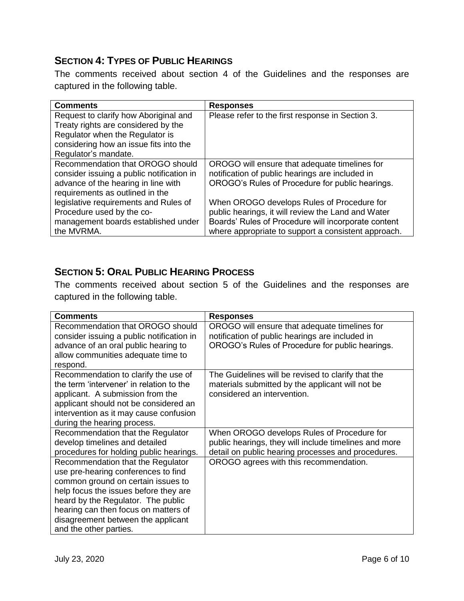#### <span id="page-7-0"></span>**SECTION 4: TYPES OF PUBLIC HEARINGS**

The comments received about section 4 of the Guidelines and the responses are captured in the following table.

| <b>Comments</b>                           | <b>Responses</b>                                    |
|-------------------------------------------|-----------------------------------------------------|
| Request to clarify how Aboriginal and     | Please refer to the first response in Section 3.    |
| Treaty rights are considered by the       |                                                     |
| Regulator when the Regulator is           |                                                     |
| considering how an issue fits into the    |                                                     |
| Regulator's mandate.                      |                                                     |
| Recommendation that OROGO should          | OROGO will ensure that adequate timelines for       |
| consider issuing a public notification in | notification of public hearings are included in     |
| advance of the hearing in line with       | OROGO's Rules of Procedure for public hearings.     |
| requirements as outlined in the           |                                                     |
| legislative requirements and Rules of     | When OROGO develops Rules of Procedure for          |
| Procedure used by the co-                 | public hearings, it will review the Land and Water  |
| management boards established under       | Boards' Rules of Procedure will incorporate content |
| the MVRMA.                                | where appropriate to support a consistent approach. |

#### <span id="page-7-1"></span>**SECTION 5: ORAL PUBLIC HEARING PROCESS**

The comments received about section 5 of the Guidelines and the responses are captured in the following table.

| <b>Comments</b>                           | <b>Responses</b>                                      |
|-------------------------------------------|-------------------------------------------------------|
| Recommendation that OROGO should          | OROGO will ensure that adequate timelines for         |
| consider issuing a public notification in | notification of public hearings are included in       |
| advance of an oral public hearing to      | OROGO's Rules of Procedure for public hearings.       |
| allow communities adequate time to        |                                                       |
| respond.                                  |                                                       |
| Recommendation to clarify the use of      | The Guidelines will be revised to clarify that the    |
| the term 'intervener' in relation to the  | materials submitted by the applicant will not be      |
| applicant. A submission from the          | considered an intervention.                           |
| applicant should not be considered an     |                                                       |
| intervention as it may cause confusion    |                                                       |
| during the hearing process.               |                                                       |
| Recommendation that the Regulator         | When OROGO develops Rules of Procedure for            |
| develop timelines and detailed            | public hearings, they will include timelines and more |
| procedures for holding public hearings.   | detail on public hearing processes and procedures.    |
| Recommendation that the Regulator         | OROGO agrees with this recommendation.                |
| use pre-hearing conferences to find       |                                                       |
| common ground on certain issues to        |                                                       |
| help focus the issues before they are     |                                                       |
| heard by the Regulator. The public        |                                                       |
| hearing can then focus on matters of      |                                                       |
| disagreement between the applicant        |                                                       |
| and the other parties.                    |                                                       |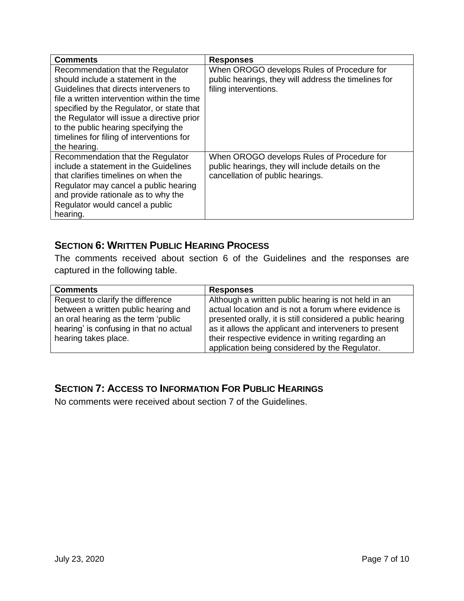| <b>Comments</b>                                                                                                                                                                                                                                                                                                                                                 | <b>Responses</b>                                                                                                                    |
|-----------------------------------------------------------------------------------------------------------------------------------------------------------------------------------------------------------------------------------------------------------------------------------------------------------------------------------------------------------------|-------------------------------------------------------------------------------------------------------------------------------------|
| Recommendation that the Regulator<br>should include a statement in the<br>Guidelines that directs interveners to<br>file a written intervention within the time<br>specified by the Regulator, or state that<br>the Regulator will issue a directive prior<br>to the public hearing specifying the<br>timelines for filing of interventions for<br>the hearing. | When OROGO develops Rules of Procedure for<br>public hearings, they will address the timelines for<br>filing interventions.         |
| Recommendation that the Regulator<br>include a statement in the Guidelines<br>that clarifies timelines on when the<br>Regulator may cancel a public hearing<br>and provide rationale as to why the<br>Regulator would cancel a public<br>hearing.                                                                                                               | When OROGO develops Rules of Procedure for<br>public hearings, they will include details on the<br>cancellation of public hearings. |

#### <span id="page-8-0"></span>**SECTION 6: WRITTEN PUBLIC HEARING PROCESS**

The comments received about section 6 of the Guidelines and the responses are captured in the following table.

| <b>Comments</b>                         | <b>Responses</b>                                          |
|-----------------------------------------|-----------------------------------------------------------|
| Request to clarify the difference       | Although a written public hearing is not held in an       |
| between a written public hearing and    | actual location and is not a forum where evidence is      |
| an oral hearing as the term 'public     | presented orally, it is still considered a public hearing |
| hearing' is confusing in that no actual | as it allows the applicant and interveners to present     |
| hearing takes place.                    | their respective evidence in writing regarding an         |
|                                         | application being considered by the Regulator.            |

#### <span id="page-8-1"></span>**SECTION 7: ACCESS TO INFORMATION FOR PUBLIC HEARINGS**

No comments were received about section 7 of the Guidelines.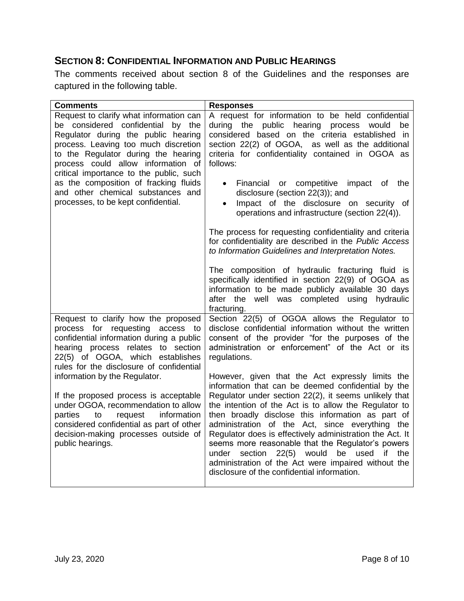#### <span id="page-9-0"></span>**SECTION 8: CONFIDENTIAL INFORMATION AND PUBLIC HEARINGS**

The comments received about section 8 of the Guidelines and the responses are captured in the following table.

| <b>Comments</b>                                                                                                                                                                                                                                                                                                                                                   | <b>Responses</b>                                                                                                                                                                                                                                                                                                                                                                                                                                                                                   |
|-------------------------------------------------------------------------------------------------------------------------------------------------------------------------------------------------------------------------------------------------------------------------------------------------------------------------------------------------------------------|----------------------------------------------------------------------------------------------------------------------------------------------------------------------------------------------------------------------------------------------------------------------------------------------------------------------------------------------------------------------------------------------------------------------------------------------------------------------------------------------------|
| Request to clarify what information can<br>be considered confidential by the<br>Regulator during the public hearing<br>process. Leaving too much discretion<br>to the Regulator during the hearing<br>process could allow information of<br>critical importance to the public, such<br>as the composition of fracking fluids<br>and other chemical substances and | A request for information to be held confidential<br>during the public hearing<br>process would<br>be<br>considered based on the criteria established in<br>section 22(2) of OGOA, as well as the additional<br>criteria for confidentiality contained in OGOA as<br>follows:<br>Financial<br>competitive impact of the<br>or<br>$\bullet$<br>disclosure (section 22(3)); and                                                                                                                      |
| processes, to be kept confidential.                                                                                                                                                                                                                                                                                                                               | Impact of the disclosure on security of<br>$\bullet$<br>operations and infrastructure (section 22(4)).                                                                                                                                                                                                                                                                                                                                                                                             |
|                                                                                                                                                                                                                                                                                                                                                                   | The process for requesting confidentiality and criteria<br>for confidentiality are described in the Public Access<br>to Information Guidelines and Interpretation Notes.                                                                                                                                                                                                                                                                                                                           |
|                                                                                                                                                                                                                                                                                                                                                                   | The composition of hydraulic fracturing fluid is<br>specifically identified in section 22(9) of OGOA as<br>information to be made publicly available 30 days<br>after the well was completed using hydraulic<br>fracturing.                                                                                                                                                                                                                                                                        |
| Request to clarify how the proposed<br>process for requesting<br>access to<br>confidential information during a public<br>hearing process relates to section<br>22(5) of OGOA, which establishes<br>rules for the disclosure of confidential                                                                                                                      | Section 22(5) of OGOA allows the Regulator to<br>disclose confidential information without the written<br>consent of the provider "for the purposes of the<br>administration or enforcement" of the Act or its<br>regulations.                                                                                                                                                                                                                                                                     |
| information by the Regulator.                                                                                                                                                                                                                                                                                                                                     | However, given that the Act expressly limits the<br>information that can be deemed confidential by the                                                                                                                                                                                                                                                                                                                                                                                             |
| If the proposed process is acceptable<br>under OGOA, recommendation to allow<br>parties<br>information<br>to<br>request<br>considered confidential as part of other<br>decision-making processes outside of<br>public hearings.                                                                                                                                   | Regulator under section 22(2), it seems unlikely that<br>the intention of the Act is to allow the Regulator to<br>then broadly disclose this information as part of<br>administration of the Act, since everything the<br>Regulator does is effectively administration the Act. It<br>seems more reasonable that the Regulator's powers<br>section 22(5) would<br>be used<br>under<br>if the<br>administration of the Act were impaired without the<br>disclosure of the confidential information. |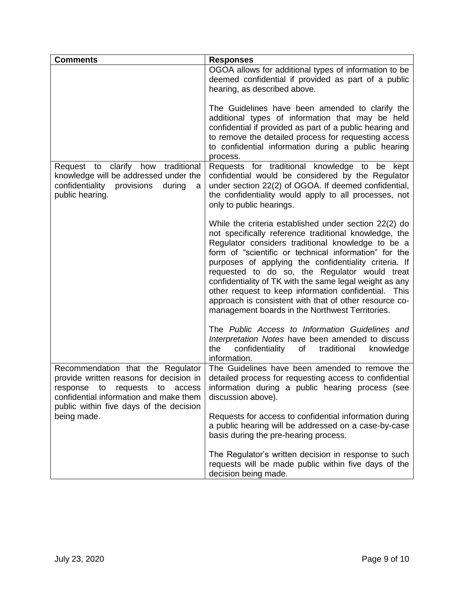<span id="page-10-0"></span>

| <b>Comments</b>                                                                                                                                                                                        | <b>Responses</b>                                                                                                                                                                                                                                                                                                                                                                                                                                                                                                                                                          |
|--------------------------------------------------------------------------------------------------------------------------------------------------------------------------------------------------------|---------------------------------------------------------------------------------------------------------------------------------------------------------------------------------------------------------------------------------------------------------------------------------------------------------------------------------------------------------------------------------------------------------------------------------------------------------------------------------------------------------------------------------------------------------------------------|
|                                                                                                                                                                                                        | OGOA allows for additional types of information to be<br>deemed confidential if provided as part of a public<br>hearing, as described above.                                                                                                                                                                                                                                                                                                                                                                                                                              |
|                                                                                                                                                                                                        | The Guidelines have been amended to clarify the<br>additional types of information that may be held<br>confidential if provided as part of a public hearing and<br>to remove the detailed process for requesting access<br>to confidential information during a public hearing<br>process.                                                                                                                                                                                                                                                                                |
| Request to clarify how traditional<br>knowledge will be addressed under the<br>confidentiality provisions<br>during<br>a<br>public hearing.                                                            | Requests for traditional knowledge to be kept<br>confidential would be considered by the Regulator<br>under section 22(2) of OGOA. If deemed confidential,<br>the confidentiality would apply to all processes, not<br>only to public hearings.                                                                                                                                                                                                                                                                                                                           |
|                                                                                                                                                                                                        | While the criteria established under section 22(2) do<br>not specifically reference traditional knowledge, the<br>Regulator considers traditional knowledge to be a<br>form of "scientific or technical information" for the<br>purposes of applying the confidentiality criteria. If<br>requested to do so, the Regulator would treat<br>confidentiality of TK with the same legal weight as any<br>other request to keep information confidential.<br>This<br>approach is consistent with that of other resource co-<br>management boards in the Northwest Territories. |
|                                                                                                                                                                                                        | The Public Access to Information Guidelines and<br>Interpretation Notes have been amended to discuss<br>confidentiality<br>traditional<br>the<br>of<br>knowledge<br>information.                                                                                                                                                                                                                                                                                                                                                                                          |
| Recommendation that the Regulator<br>provide written reasons for decision in<br>response to requests to<br>access<br>confidential information and make them<br>public within five days of the decision | The Guidelines have been amended to remove the<br>detailed process for requesting access to confidential<br>information during a public hearing process (see<br>discussion above).                                                                                                                                                                                                                                                                                                                                                                                        |
| being made.                                                                                                                                                                                            | Requests for access to confidential information during<br>a public hearing will be addressed on a case-by-case<br>basis during the pre-hearing process.                                                                                                                                                                                                                                                                                                                                                                                                                   |
|                                                                                                                                                                                                        | The Regulator's written decision in response to such<br>requests will be made public within five days of the<br>decision being made.                                                                                                                                                                                                                                                                                                                                                                                                                                      |